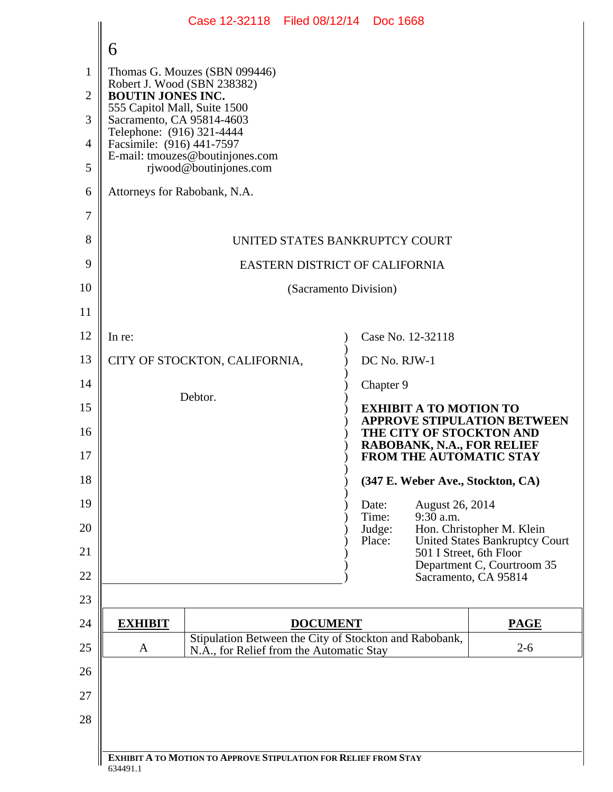|                                                           | Case 12-32118 Filed 08/12/14 Doc 1668                                                    |  |
|-----------------------------------------------------------|------------------------------------------------------------------------------------------|--|
| 6                                                         |                                                                                          |  |
| Thomas G. Mouzes (SBN 099446)                             |                                                                                          |  |
| Robert J. Wood (SBN 238382)<br><b>BOUTIN JONES INC.</b>   |                                                                                          |  |
| 555 Capitol Mall, Suite 1500<br>Sacramento, CA 95814-4603 |                                                                                          |  |
| Telephone: (916) 321-4444<br>Facsimile: (916) 441-7597    |                                                                                          |  |
| E-mail: tmouzes@boutinjones.com<br>rjwood@boutinjones.com |                                                                                          |  |
| Attorneys for Rabobank, N.A.                              |                                                                                          |  |
|                                                           |                                                                                          |  |
| UNITED STATES BANKRUPTCY COURT                            |                                                                                          |  |
| EASTERN DISTRICT OF CALIFORNIA                            |                                                                                          |  |
|                                                           | (Sacramento Division)                                                                    |  |
|                                                           |                                                                                          |  |
| In re:                                                    | Case No. 12-32118                                                                        |  |
| CITY OF STOCKTON, CALIFORNIA,                             | DC No. RJW-1                                                                             |  |
|                                                           | Chapter 9                                                                                |  |
| Debtor.                                                   | <b>EXHIBIT A TO MOTION TO</b><br><b>APPROVE STIPULATION BETWEEN</b>                      |  |
|                                                           | THE CITY OF STOCKTON AND<br>RABOBANK, N.A., FOR RELIEF<br><b>FROM THE AUTOMATIC STAY</b> |  |
|                                                           | (347 E. Weber Ave., Stockton, CA)                                                        |  |
|                                                           | August 26, 2014<br>Date:                                                                 |  |
|                                                           | $9:30$ a.m.<br>Time:                                                                     |  |
|                                                           | Hon. Christopher M. Klein<br>Judge:<br>United States Bankruptcy Court<br>Place:          |  |
|                                                           | 501 I Street, 6th Floor<br>Department C, Courtroom 35                                    |  |
|                                                           | Sacramento, CA 95814                                                                     |  |
| <b>EXHIBIT</b>                                            | <b>PAGE</b><br><b>DOCUMENT</b>                                                           |  |
|                                                           | Stipulation Between the City of Stockton and Rabobank,<br>$2 - 6$                        |  |
| A<br>N.A., for Relief from the Automatic Stay             |                                                                                          |  |
|                                                           |                                                                                          |  |
|                                                           |                                                                                          |  |
|                                                           |                                                                                          |  |
|                                                           |                                                                                          |  |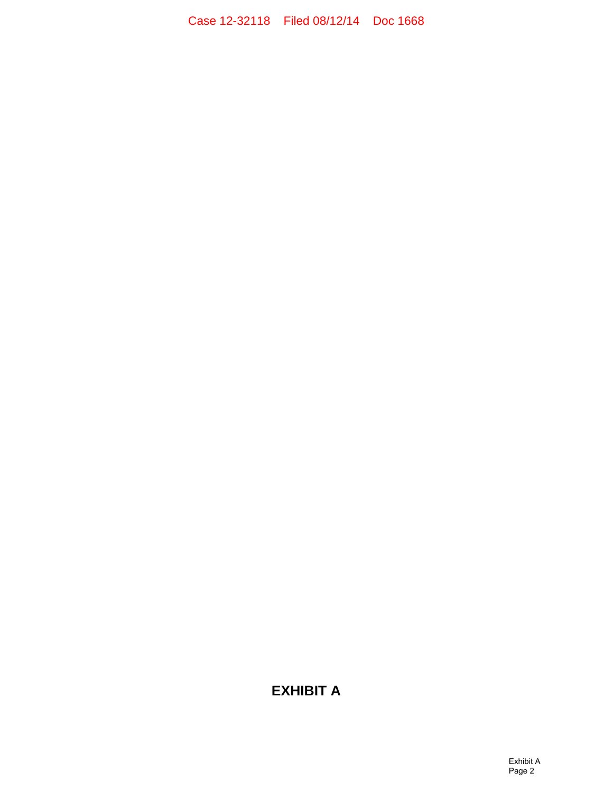Case 12-32118 Filed 08/12/14 Doc 1668

## **EXHIBIT A**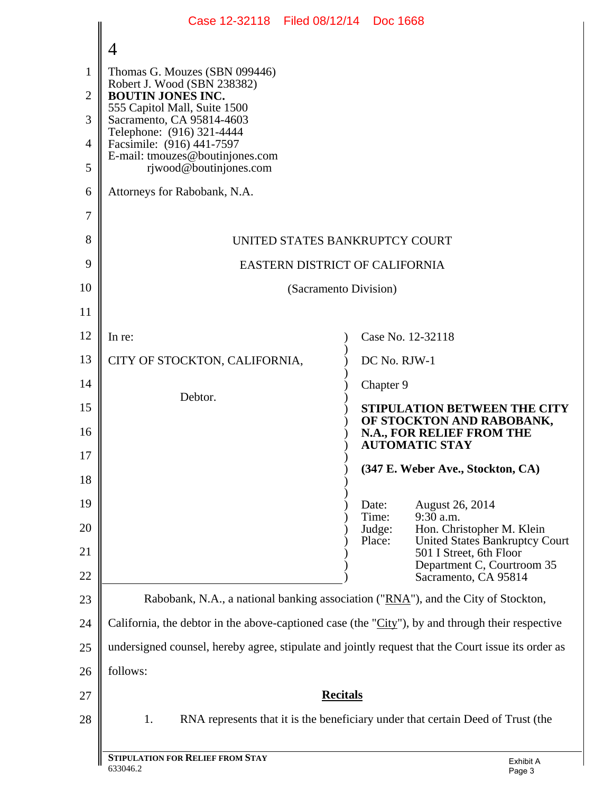|                | Case 12-32118 Filed 08/12/14 Doc 1668                                                                |                                                                                               |  |
|----------------|------------------------------------------------------------------------------------------------------|-----------------------------------------------------------------------------------------------|--|
|                | 4                                                                                                    |                                                                                               |  |
| $\mathbf{1}$   | Thomas G. Mouzes (SBN 099446)                                                                        |                                                                                               |  |
| $\overline{2}$ | Robert J. Wood (SBN 238382)<br><b>BOUTIN JONES INC.</b>                                              |                                                                                               |  |
| 3              | 555 Capitol Mall, Suite 1500<br>Sacramento, CA 95814-4603                                            |                                                                                               |  |
| $\overline{4}$ | Telephone: (916) 321-4444<br>Facsimile: (916) 441-7597                                               |                                                                                               |  |
| 5              | E-mail: tmouzes@boutinjones.com<br>rjwood@boutinjones.com                                            |                                                                                               |  |
| 6              | Attorneys for Rabobank, N.A.                                                                         |                                                                                               |  |
| $\overline{7}$ |                                                                                                      |                                                                                               |  |
| 8              | UNITED STATES BANKRUPTCY COURT                                                                       |                                                                                               |  |
| 9              | EASTERN DISTRICT OF CALIFORNIA                                                                       |                                                                                               |  |
| 10             | (Sacramento Division)                                                                                |                                                                                               |  |
| 11             |                                                                                                      |                                                                                               |  |
| 12             | In re:                                                                                               | Case No. 12-32118                                                                             |  |
| 13             | CITY OF STOCKTON, CALIFORNIA,                                                                        | DC No. RJW-1                                                                                  |  |
| 14             | Debtor.                                                                                              | Chapter 9                                                                                     |  |
| 15             |                                                                                                      | <b>STIPULATION BETWEEN THE CITY</b><br>OF STOCKTON AND RABOBANK,                              |  |
| 16             |                                                                                                      | N.A., FOR RELIEF FROM THE<br><b>AUTOMATIC STAY</b>                                            |  |
| 17             |                                                                                                      | (347 E. Weber Ave., Stockton, CA)                                                             |  |
| 18             |                                                                                                      |                                                                                               |  |
| 19             | Date:<br>Time:                                                                                       | <b>August 26, 2014</b><br>$9:30$ a.m.                                                         |  |
| 20<br>21       | Judge:<br>Place:                                                                                     | Hon. Christopher M. Klein<br><b>United States Bankruptcy Court</b><br>501 I Street, 6th Floor |  |
| 22             |                                                                                                      | Department C, Courtroom 35<br>Sacramento, CA 95814                                            |  |
| 23             | Rabobank, N.A., a national banking association ("RNA"), and the City of Stockton,                    |                                                                                               |  |
| 24             | California, the debtor in the above-captioned case (the " $City$ "), by and through their respective |                                                                                               |  |
| 25             | undersigned counsel, hereby agree, stipulate and jointly request that the Court issue its order as   |                                                                                               |  |
| 26             | follows:                                                                                             |                                                                                               |  |
| 27             | <b>Recitals</b>                                                                                      |                                                                                               |  |
| 28             | RNA represents that it is the beneficiary under that certain Deed of Trust (the<br>1.                |                                                                                               |  |
|                |                                                                                                      |                                                                                               |  |
|                | <b>STIPULATION FOR RELIEF FROM STAY</b>                                                              | Exhibit A                                                                                     |  |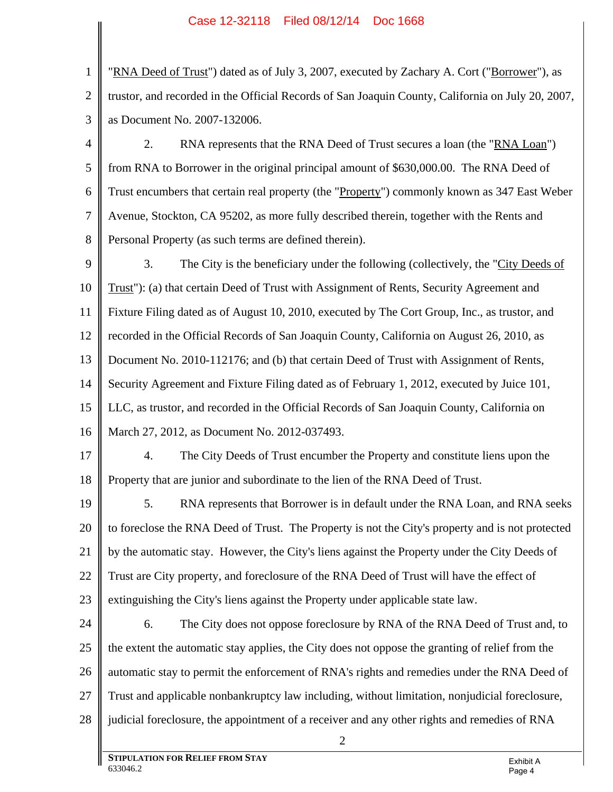1 2 3 "RNA Deed of Trust") dated as of July 3, 2007, executed by Zachary A. Cort ("Borrower"), as trustor, and recorded in the Official Records of San Joaquin County, California on July 20, 2007, as Document No. 2007-132006.

4 5 6 7 8 2. RNA represents that the RNA Deed of Trust secures a loan (the "RNA Loan") from RNA to Borrower in the original principal amount of \$630,000.00. The RNA Deed of Trust encumbers that certain real property (the "Property") commonly known as 347 East Weber Avenue, Stockton, CA 95202, as more fully described therein, together with the Rents and Personal Property (as such terms are defined therein).

9 10 11 12 13 14 15 16 3. The City is the beneficiary under the following (collectively, the "City Deeds of Trust"): (a) that certain Deed of Trust with Assignment of Rents, Security Agreement and Fixture Filing dated as of August 10, 2010, executed by The Cort Group, Inc., as trustor, and recorded in the Official Records of San Joaquin County, California on August 26, 2010, as Document No. 2010-112176; and (b) that certain Deed of Trust with Assignment of Rents, Security Agreement and Fixture Filing dated as of February 1, 2012, executed by Juice 101, LLC, as trustor, and recorded in the Official Records of San Joaquin County, California on March 27, 2012, as Document No. 2012-037493.

17 18 4. The City Deeds of Trust encumber the Property and constitute liens upon the Property that are junior and subordinate to the lien of the RNA Deed of Trust.

19 20 21 22 23 5. RNA represents that Borrower is in default under the RNA Loan, and RNA seeks to foreclose the RNA Deed of Trust. The Property is not the City's property and is not protected by the automatic stay. However, the City's liens against the Property under the City Deeds of Trust are City property, and foreclosure of the RNA Deed of Trust will have the effect of extinguishing the City's liens against the Property under applicable state law.

24 25 26 27 28 6. The City does not oppose foreclosure by RNA of the RNA Deed of Trust and, to the extent the automatic stay applies, the City does not oppose the granting of relief from the automatic stay to permit the enforcement of RNA's rights and remedies under the RNA Deed of Trust and applicable nonbankruptcy law including, without limitation, nonjudicial foreclosure, judicial foreclosure, the appointment of a receiver and any other rights and remedies of RNA

2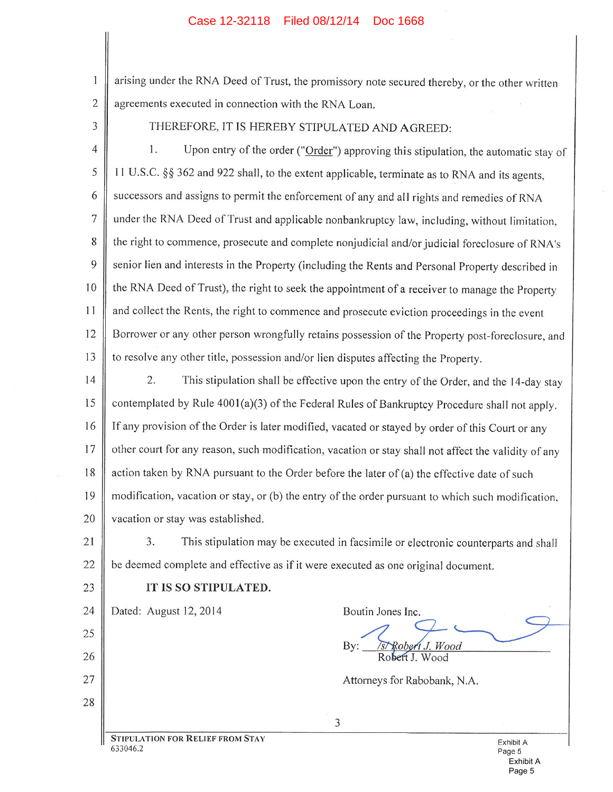## Case 12-32118 Filed 08/12/14 Doc 1668

arising under the RNA Deed of Trust, the promissory note secured thereby, or the other written agreements executed in connection with the RNA Loan.

3

 $\overline{2}$ 

1

THEREFORE, IT IS HEREBY STIPULATED AND AGREED:

 $\overline{4}$ 1. Upon entry of the order ("Order") approving this stipulation, the automatic stay of 5 11 U.S.C. §§ 362 and 922 shall, to the extent applicable, terminate as to RNA and its agents, 6 successors and assigns to permit the enforcement of any and all rights and remedies of RNA  $\overline{7}$ under the RNA Deed of Trust and applicable nonbankruptcy law, including, without limitation, the right to commence, prosecute and complete nonjudicial and/or judicial foreclosure of RNA's 8 9 senior lien and interests in the Property (including the Rents and Personal Property described in the RNA Deed of Trust), the right to seek the appointment of a receiver to manage the Property 10 and collect the Rents, the right to commence and prosecute eviction proceedings in the event 11 Borrower or any other person wrongfully retains possession of the Property post-foreclosure, and 12 13 to resolve any other title, possession and/or lien disputes affecting the Property.

14

2. This stipulation shall be effective upon the entry of the Order, and the 14-day stay 15 contemplated by Rule 4001(a)(3) of the Federal Rules of Bankruptcy Procedure shall not apply. If any provision of the Order is later modified, vacated or stayed by order of this Court or any 16 other court for any reason, such modification, vacation or stay shall not affect the validity of any 17 action taken by RNA pursuant to the Order before the later of (a) the effective date of such 18 modification, vacation or stay, or (b) the entry of the order pursuant to which such modification, 19 20 vacation or stay was established.

This stipulation may be executed in facsimile or electronic counterparts and shall 21  $3.$ 22 be deemed complete and effective as if it were executed as one original document.

3

## IT IS SO STIPULATED.

24 Dated: August 12, 2014

25 26

 $27$ 

28

23

Wood Bv:

Attorneys for Rabobank, N.A.

Boutin Jones Inc.

**STIPULATION FOR RELIEF FROM STAY** 633046.2